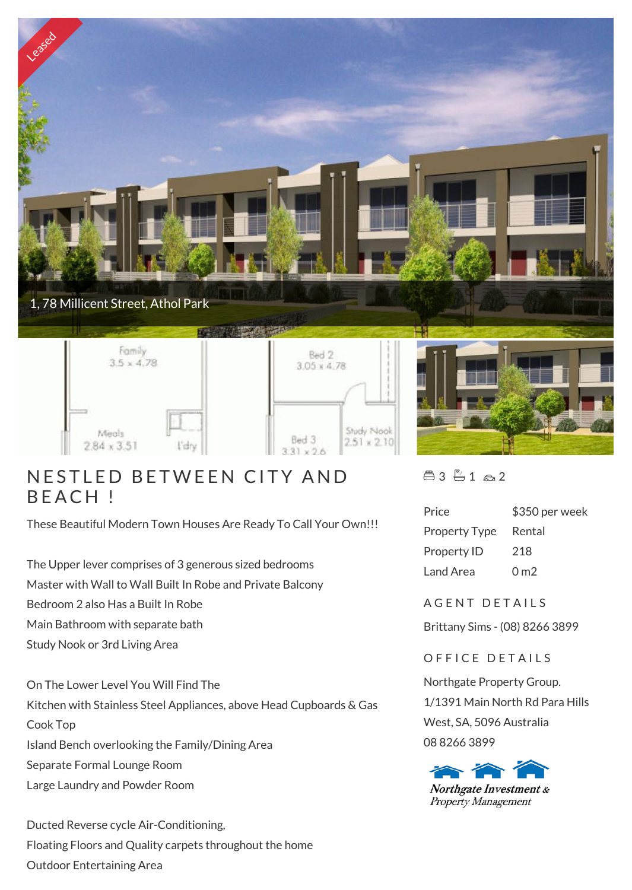

## NESTLED I<br>BEACH !

These Beautiful Modern Town Houses Are Ready To Call Your Own!!!

The Upper lever comprises of 3 generous sized bedrooms Master with Wall to Wall Built In Robe and Private Balcony Bedroom 2 also Has a Built In Robe Main Bathroom with separate bath Study Nook or 3rd Living Area

On The Lower Level You Will Find The Kitchen with Stainless Steel Appliances, above Head Cupboards & Gas Cook Top Island Bench overlooking the Family/Dining Area Separate Formal Lounge Room Large Laundry and Powder Room

Ducted Reverse cycle Air-Conditioning, Floating Floors and Quality carpets throughout the home Outdoor Entertaining Area

 $43 - 1 - 2$ 

| Price                | \$350 per week  |
|----------------------|-----------------|
| <b>Property Type</b> | Rental          |
| Property ID          | 218             |
| Land Area            | 0 <sub>m2</sub> |

A GENT DETAILS

Brittany Sims - (08) 8266 3899

OFFICE DETAILS

Northgate Property Group. 1/1391 Main North Rd Para Hills West, SA, 5096 Australia 08 8266 3899